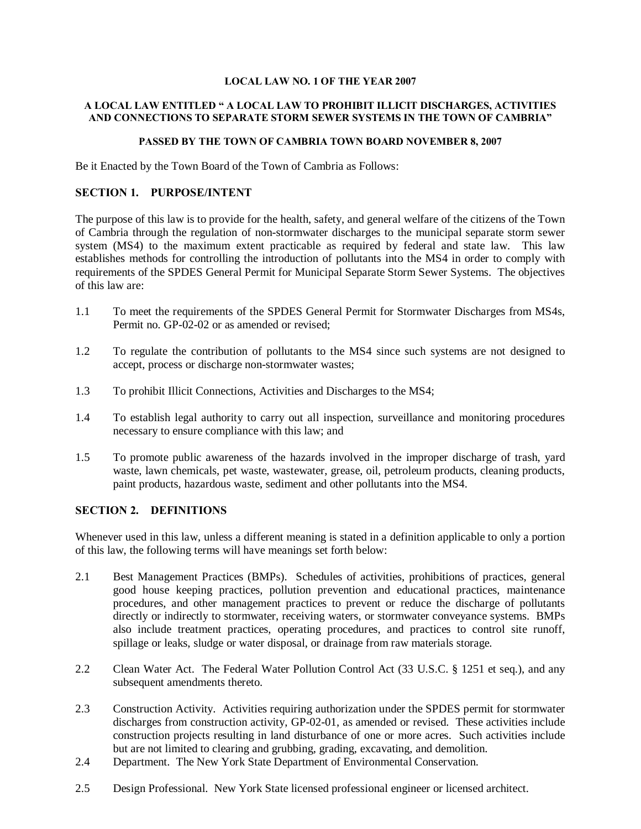#### **LOCAL LAW NO. 1 OF THE YEAR 2007**

#### **A LOCAL LAW ENTITLED " A LOCAL LAW TO PROHIBIT ILLICIT DISCHARGES, ACTIVITIES AND CONNECTIONS TO SEPARATE STORM SEWER SYSTEMS IN THE TOWN OF CAMBRIA"**

#### **PASSED BY THE TOWN OF CAMBRIA TOWN BOARD NOVEMBER 8, 2007**

Be it Enacted by the Town Board of the Town of Cambria as Follows:

#### **SECTION 1. PURPOSE/INTENT**

The purpose of this law is to provide for the health, safety, and general welfare of the citizens of the Town of Cambria through the regulation of non-stormwater discharges to the municipal separate storm sewer system (MS4) to the maximum extent practicable as required by federal and state law. This law establishes methods for controlling the introduction of pollutants into the MS4 in order to comply with requirements of the SPDES General Permit for Municipal Separate Storm Sewer Systems. The objectives of this law are:

- 1.1 To meet the requirements of the SPDES General Permit for Stormwater Discharges from MS4s, Permit no. GP-02-02 or as amended or revised;
- 1.2 To regulate the contribution of pollutants to the MS4 since such systems are not designed to accept, process or discharge non-stormwater wastes;
- 1.3 To prohibit Illicit Connections, Activities and Discharges to the MS4;
- 1.4 To establish legal authority to carry out all inspection, surveillance and monitoring procedures necessary to ensure compliance with this law; and
- 1.5 To promote public awareness of the hazards involved in the improper discharge of trash, yard waste, lawn chemicals, pet waste, wastewater, grease, oil, petroleum products, cleaning products, paint products, hazardous waste, sediment and other pollutants into the MS4.

### **SECTION 2. DEFINITIONS**

Whenever used in this law, unless a different meaning is stated in a definition applicable to only a portion of this law, the following terms will have meanings set forth below:

- 2.1 Best Management Practices (BMPs). Schedules of activities, prohibitions of practices, general good house keeping practices, pollution prevention and educational practices, maintenance procedures, and other management practices to prevent or reduce the discharge of pollutants directly or indirectly to stormwater, receiving waters, or stormwater conveyance systems. BMPs also include treatment practices, operating procedures, and practices to control site runoff, spillage or leaks, sludge or water disposal, or drainage from raw materials storage.
- 2.2 Clean Water Act. The Federal Water Pollution Control Act (33 U.S.C. § 1251 et seq.), and any subsequent amendments thereto.
- 2.3 Construction Activity. Activities requiring authorization under the SPDES permit for stormwater discharges from construction activity, GP-02-01, as amended or revised. These activities include construction projects resulting in land disturbance of one or more acres. Such activities include but are not limited to clearing and grubbing, grading, excavating, and demolition.
- 2.4 Department. The New York State Department of Environmental Conservation.
- 2.5 Design Professional. New York State licensed professional engineer or licensed architect.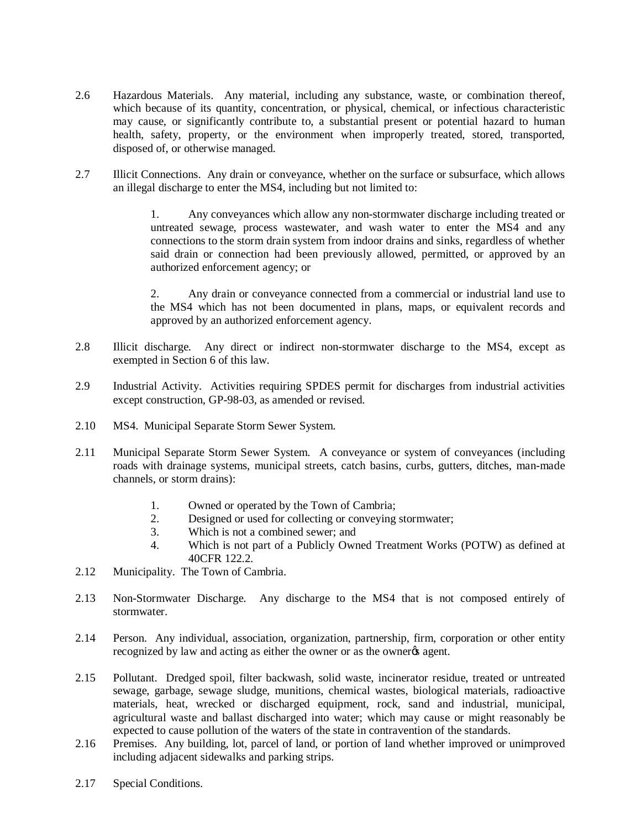- 2.6 Hazardous Materials. Any material, including any substance, waste, or combination thereof, which because of its quantity, concentration, or physical, chemical, or infectious characteristic may cause, or significantly contribute to, a substantial present or potential hazard to human health, safety, property, or the environment when improperly treated, stored, transported, disposed of, or otherwise managed.
- 2.7 Illicit Connections. Any drain or conveyance, whether on the surface or subsurface, which allows an illegal discharge to enter the MS4, including but not limited to:

1. Any conveyances which allow any non-stormwater discharge including treated or untreated sewage, process wastewater, and wash water to enter the MS4 and any connections to the storm drain system from indoor drains and sinks, regardless of whether said drain or connection had been previously allowed, permitted, or approved by an authorized enforcement agency; or

2. Any drain or conveyance connected from a commercial or industrial land use to the MS4 which has not been documented in plans, maps, or equivalent records and approved by an authorized enforcement agency.

- 2.8 Illicit discharge. Any direct or indirect non-stormwater discharge to the MS4, except as exempted in Section 6 of this law.
- 2.9 Industrial Activity. Activities requiring SPDES permit for discharges from industrial activities except construction, GP-98-03, as amended or revised.
- 2.10 MS4. Municipal Separate Storm Sewer System.
- 2.11 Municipal Separate Storm Sewer System. A conveyance or system of conveyances (including roads with drainage systems, municipal streets, catch basins, curbs, gutters, ditches, man-made channels, or storm drains):
	- 1. Owned or operated by the Town of Cambria;
	- 2. Designed or used for collecting or conveying stormwater;
	- 3. Which is not a combined sewer; and
	- 4. Which is not part of a Publicly Owned Treatment Works (POTW) as defined at 40CFR 122.2.
- 2.12 Municipality. The Town of Cambria.
- 2.13 Non-Stormwater Discharge. Any discharge to the MS4 that is not composed entirely of stormwater.
- 2.14 Person. Any individual, association, organization, partnership, firm, corporation or other entity recognized by law and acting as either the owner or as the owner% agent.
- 2.15 Pollutant. Dredged spoil, filter backwash, solid waste, incinerator residue, treated or untreated sewage, garbage, sewage sludge, munitions, chemical wastes, biological materials, radioactive materials, heat, wrecked or discharged equipment, rock, sand and industrial, municipal, agricultural waste and ballast discharged into water; which may cause or might reasonably be expected to cause pollution of the waters of the state in contravention of the standards.
- 2.16 Premises. Any building, lot, parcel of land, or portion of land whether improved or unimproved including adjacent sidewalks and parking strips.
- 2.17 Special Conditions.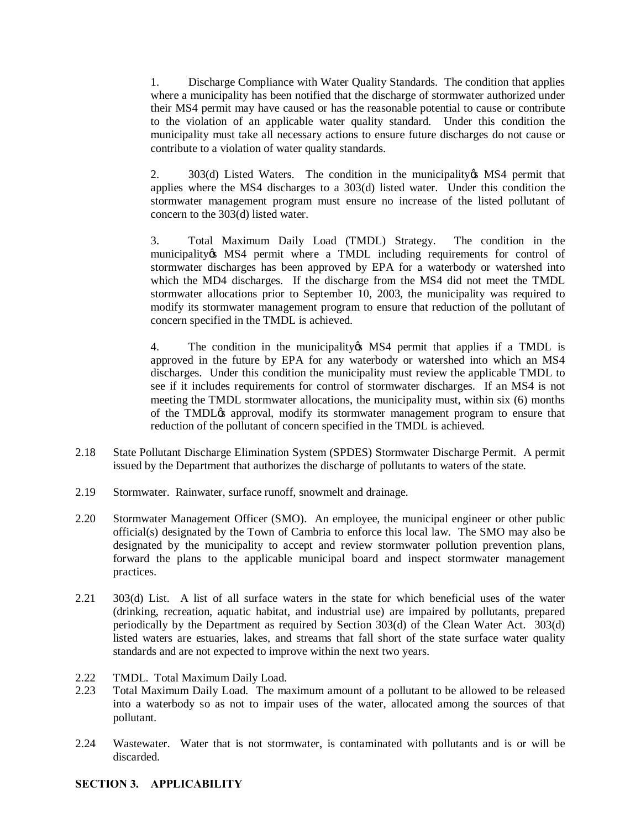1. Discharge Compliance with Water Quality Standards. The condition that applies where a municipality has been notified that the discharge of stormwater authorized under their MS4 permit may have caused or has the reasonable potential to cause or contribute to the violation of an applicable water quality standard. Under this condition the municipality must take all necessary actions to ensure future discharges do not cause or contribute to a violation of water quality standards.

303(d) Listed Waters. The condition in the municipality is MS4 permit that applies where the MS4 discharges to a 303(d) listed water. Under this condition the stormwater management program must ensure no increase of the listed pollutant of concern to the 303(d) listed water.

3. Total Maximum Daily Load (TMDL) Strategy. The condition in the municipality & MS4 permit where a TMDL including requirements for control of stormwater discharges has been approved by EPA for a waterbody or watershed into which the MD4 discharges. If the discharge from the MS4 did not meet the TMDL stormwater allocations prior to September 10, 2003, the municipality was required to modify its stormwater management program to ensure that reduction of the pollutant of concern specified in the TMDL is achieved.

4. The condition in the municipality in MS4 permit that applies if a TMDL is approved in the future by EPA for any waterbody or watershed into which an MS4 discharges. Under this condition the municipality must review the applicable TMDL to see if it includes requirements for control of stormwater discharges. If an MS4 is not meeting the TMDL stormwater allocations, the municipality must, within six (6) months of the TMDL $\alpha$  approval, modify its stormwater management program to ensure that reduction of the pollutant of concern specified in the TMDL is achieved.

- 2.18 State Pollutant Discharge Elimination System (SPDES) Stormwater Discharge Permit. A permit issued by the Department that authorizes the discharge of pollutants to waters of the state.
- 2.19 Stormwater. Rainwater, surface runoff, snowmelt and drainage.
- 2.20 Stormwater Management Officer (SMO). An employee, the municipal engineer or other public official(s) designated by the Town of Cambria to enforce this local law. The SMO may also be designated by the municipality to accept and review stormwater pollution prevention plans, forward the plans to the applicable municipal board and inspect stormwater management practices.
- 2.21 303(d) List. A list of all surface waters in the state for which beneficial uses of the water (drinking, recreation, aquatic habitat, and industrial use) are impaired by pollutants, prepared periodically by the Department as required by Section 303(d) of the Clean Water Act. 303(d) listed waters are estuaries, lakes, and streams that fall short of the state surface water quality standards and are not expected to improve within the next two years.
- 2.22 TMDL. Total Maximum Daily Load.
- 2.23 Total Maximum Daily Load. The maximum amount of a pollutant to be allowed to be released into a waterbody so as not to impair uses of the water, allocated among the sources of that pollutant.
- 2.24 Wastewater. Water that is not stormwater, is contaminated with pollutants and is or will be discarded.

# **SECTION 3. APPLICABILITY**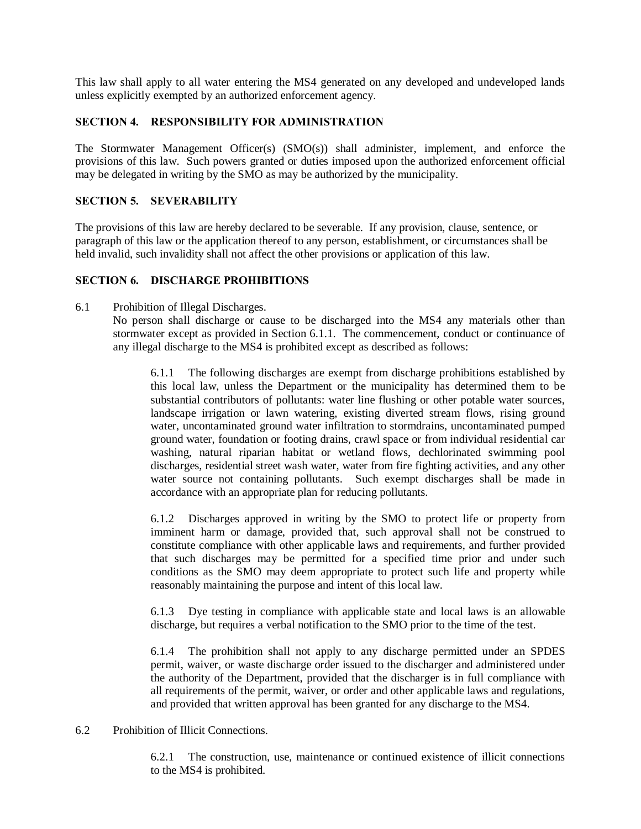This law shall apply to all water entering the MS4 generated on any developed and undeveloped lands unless explicitly exempted by an authorized enforcement agency.

# **SECTION 4. RESPONSIBILITY FOR ADMINISTRATION**

The Stormwater Management Officer(s) (SMO(s)) shall administer, implement, and enforce the provisions of this law. Such powers granted or duties imposed upon the authorized enforcement official may be delegated in writing by the SMO as may be authorized by the municipality.

# **SECTION 5. SEVERABILITY**

The provisions of this law are hereby declared to be severable. If any provision, clause, sentence, or paragraph of this law or the application thereof to any person, establishment, or circumstances shall be held invalid, such invalidity shall not affect the other provisions or application of this law.

### **SECTION 6. DISCHARGE PROHIBITIONS**

6.1 Prohibition of Illegal Discharges. No person shall discharge or cause to be discharged into the MS4 any materials other than stormwater except as provided in Section 6.1.1. The commencement, conduct or continuance of any illegal discharge to the MS4 is prohibited except as described as follows:

> 6.1.1 The following discharges are exempt from discharge prohibitions established by this local law, unless the Department or the municipality has determined them to be substantial contributors of pollutants: water line flushing or other potable water sources, landscape irrigation or lawn watering, existing diverted stream flows, rising ground water, uncontaminated ground water infiltration to stormdrains, uncontaminated pumped ground water, foundation or footing drains, crawl space or from individual residential car washing, natural riparian habitat or wetland flows, dechlorinated swimming pool discharges, residential street wash water, water from fire fighting activities, and any other water source not containing pollutants. Such exempt discharges shall be made in accordance with an appropriate plan for reducing pollutants.

> 6.1.2 Discharges approved in writing by the SMO to protect life or property from imminent harm or damage, provided that, such approval shall not be construed to constitute compliance with other applicable laws and requirements, and further provided that such discharges may be permitted for a specified time prior and under such conditions as the SMO may deem appropriate to protect such life and property while reasonably maintaining the purpose and intent of this local law.

> 6.1.3 Dye testing in compliance with applicable state and local laws is an allowable discharge, but requires a verbal notification to the SMO prior to the time of the test.

> 6.1.4 The prohibition shall not apply to any discharge permitted under an SPDES permit, waiver, or waste discharge order issued to the discharger and administered under the authority of the Department, provided that the discharger is in full compliance with all requirements of the permit, waiver, or order and other applicable laws and regulations, and provided that written approval has been granted for any discharge to the MS4.

### 6.2 Prohibition of Illicit Connections.

6.2.1 The construction, use, maintenance or continued existence of illicit connections to the MS4 is prohibited.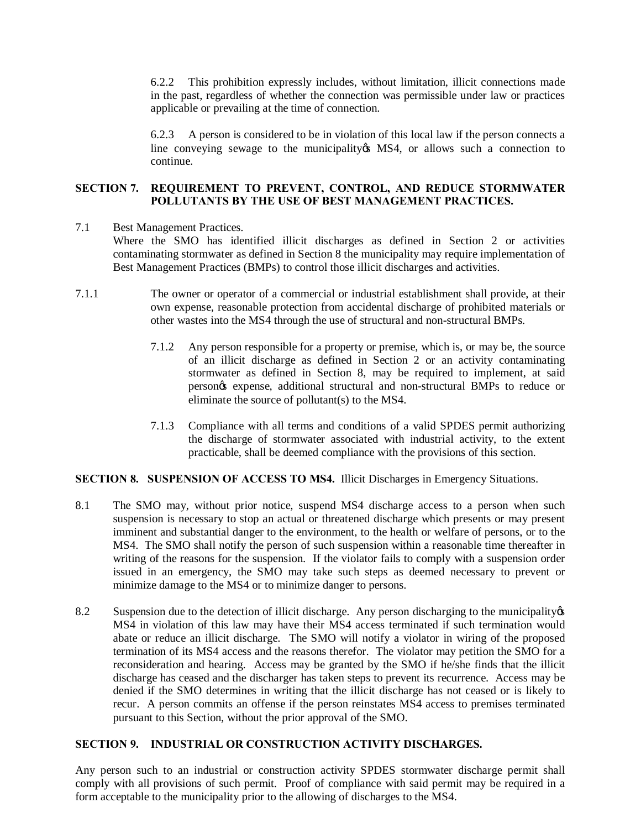6.2.2 This prohibition expressly includes, without limitation, illicit connections made in the past, regardless of whether the connection was permissible under law or practices applicable or prevailing at the time of connection.

6.2.3 A person is considered to be in violation of this local law if the person connects a line conveying sewage to the municipality in MS4, or allows such a connection to continue.

# **SECTION 7. REQUIREMENT TO PREVENT, CONTROL, AND REDUCE STORMWATER POLLUTANTS BY THE USE OF BEST MANAGEMENT PRACTICES.**

- 7.1 Best Management Practices. Where the SMO has identified illicit discharges as defined in Section 2 or activities contaminating stormwater as defined in Section 8 the municipality may require implementation of Best Management Practices (BMPs) to control those illicit discharges and activities.
- 7.1.1 The owner or operator of a commercial or industrial establishment shall provide, at their own expense, reasonable protection from accidental discharge of prohibited materials or other wastes into the MS4 through the use of structural and non-structural BMPs.
	- 7.1.2 Any person responsible for a property or premise, which is, or may be, the source of an illicit discharge as defined in Section 2 or an activity contaminating stormwater as defined in Section 8, may be required to implement, at said person's expense, additional structural and non-structural BMPs to reduce or eliminate the source of pollutant(s) to the MS4.
	- 7.1.3 Compliance with all terms and conditions of a valid SPDES permit authorizing the discharge of stormwater associated with industrial activity, to the extent practicable, shall be deemed compliance with the provisions of this section.

### **SECTION 8. SUSPENSION OF ACCESS TO MS4.** Illicit Discharges in Emergency Situations.

- 8.1 The SMO may, without prior notice, suspend MS4 discharge access to a person when such suspension is necessary to stop an actual or threatened discharge which presents or may present imminent and substantial danger to the environment, to the health or welfare of persons, or to the MS4. The SMO shall notify the person of such suspension within a reasonable time thereafter in writing of the reasons for the suspension. If the violator fails to comply with a suspension order issued in an emergency, the SMO may take such steps as deemed necessary to prevent or minimize damage to the MS4 or to minimize danger to persons.
- 8.2 Suspension due to the detection of illicit discharge. Any person discharging to the municipality of  $\mathcal{S}$ MS4 in violation of this law may have their MS4 access terminated if such termination would abate or reduce an illicit discharge. The SMO will notify a violator in wiring of the proposed termination of its MS4 access and the reasons therefor. The violator may petition the SMO for a reconsideration and hearing. Access may be granted by the SMO if he/she finds that the illicit discharge has ceased and the discharger has taken steps to prevent its recurrence. Access may be denied if the SMO determines in writing that the illicit discharge has not ceased or is likely to recur. A person commits an offense if the person reinstates MS4 access to premises terminated pursuant to this Section, without the prior approval of the SMO.

### **SECTION 9. INDUSTRIAL OR CONSTRUCTION ACTIVITY DISCHARGES.**

Any person such to an industrial or construction activity SPDES stormwater discharge permit shall comply with all provisions of such permit. Proof of compliance with said permit may be required in a form acceptable to the municipality prior to the allowing of discharges to the MS4.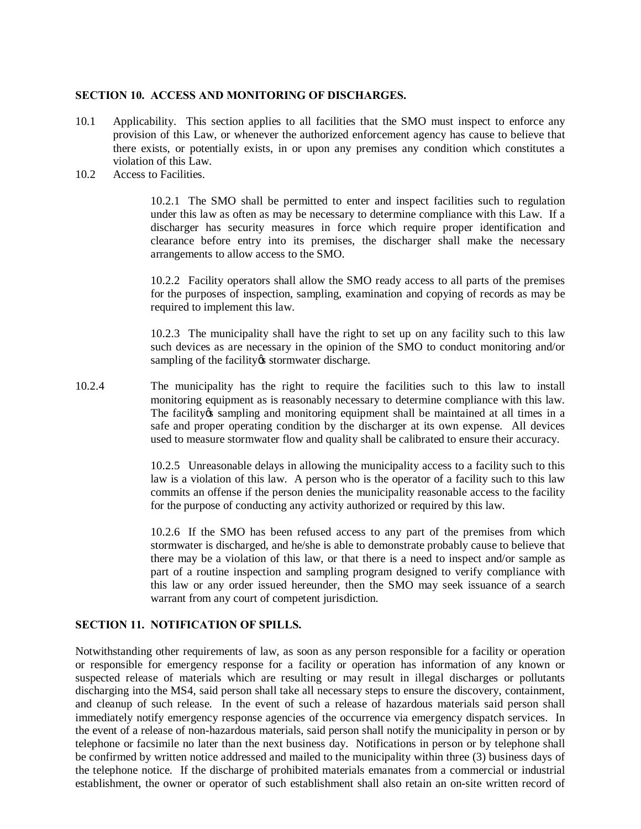### **SECTION 10. ACCESS AND MONITORING OF DISCHARGES.**

- 10.1 Applicability. This section applies to all facilities that the SMO must inspect to enforce any provision of this Law, or whenever the authorized enforcement agency has cause to believe that there exists, or potentially exists, in or upon any premises any condition which constitutes a violation of this Law.
- 10.2 Access to Facilities.

10.2.1 The SMO shall be permitted to enter and inspect facilities such to regulation under this law as often as may be necessary to determine compliance with this Law. If a discharger has security measures in force which require proper identification and clearance before entry into its premises, the discharger shall make the necessary arrangements to allow access to the SMO.

10.2.2 Facility operators shall allow the SMO ready access to all parts of the premises for the purposes of inspection, sampling, examination and copying of records as may be required to implement this law.

10.2.3 The municipality shall have the right to set up on any facility such to this law such devices as are necessary in the opinion of the SMO to conduct monitoring and/or sampling of the facility is stormwater discharge.

10.2.4 The municipality has the right to require the facilities such to this law to install monitoring equipment as is reasonably necessary to determine compliance with this law. The facility os sampling and monitoring equipment shall be maintained at all times in a safe and proper operating condition by the discharger at its own expense. All devices used to measure stormwater flow and quality shall be calibrated to ensure their accuracy.

> 10.2.5 Unreasonable delays in allowing the municipality access to a facility such to this law is a violation of this law. A person who is the operator of a facility such to this law commits an offense if the person denies the municipality reasonable access to the facility for the purpose of conducting any activity authorized or required by this law.

> 10.2.6 If the SMO has been refused access to any part of the premises from which stormwater is discharged, and he/she is able to demonstrate probably cause to believe that there may be a violation of this law, or that there is a need to inspect and/or sample as part of a routine inspection and sampling program designed to verify compliance with this law or any order issued hereunder, then the SMO may seek issuance of a search warrant from any court of competent jurisdiction.

#### **SECTION 11. NOTIFICATION OF SPILLS.**

Notwithstanding other requirements of law, as soon as any person responsible for a facility or operation or responsible for emergency response for a facility or operation has information of any known or suspected release of materials which are resulting or may result in illegal discharges or pollutants discharging into the MS4, said person shall take all necessary steps to ensure the discovery, containment, and cleanup of such release. In the event of such a release of hazardous materials said person shall immediately notify emergency response agencies of the occurrence via emergency dispatch services. In the event of a release of non-hazardous materials, said person shall notify the municipality in person or by telephone or facsimile no later than the next business day. Notifications in person or by telephone shall be confirmed by written notice addressed and mailed to the municipality within three (3) business days of the telephone notice. If the discharge of prohibited materials emanates from a commercial or industrial establishment, the owner or operator of such establishment shall also retain an on-site written record of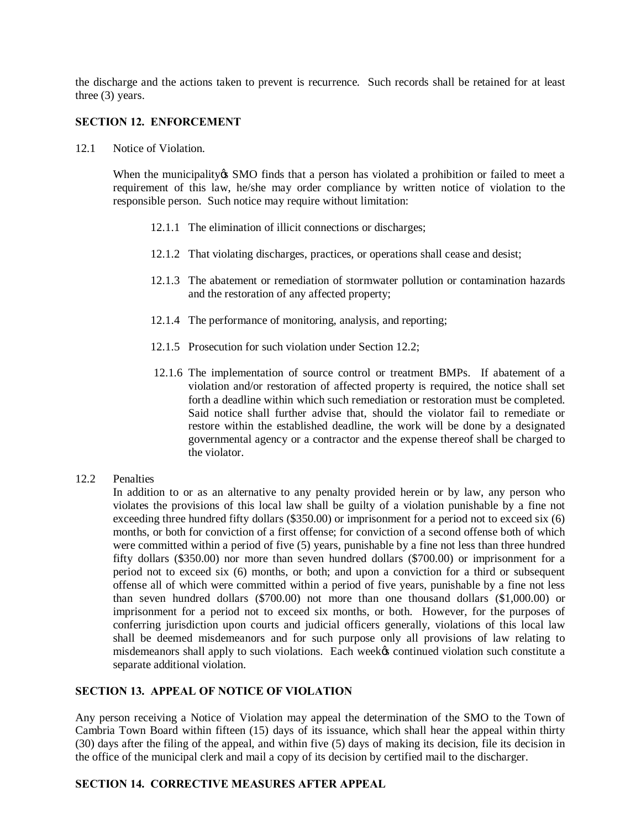the discharge and the actions taken to prevent is recurrence. Such records shall be retained for at least three (3) years.

### **SECTION 12. ENFORCEMENT**

12.1 Notice of Violation.

When the municipality os SMO finds that a person has violated a prohibition or failed to meet a requirement of this law, he/she may order compliance by written notice of violation to the responsible person. Such notice may require without limitation:

- 12.1.1 The elimination of illicit connections or discharges;
- 12.1.2 That violating discharges, practices, or operations shall cease and desist;
- 12.1.3 The abatement or remediation of stormwater pollution or contamination hazards and the restoration of any affected property;
- 12.1.4 The performance of monitoring, analysis, and reporting;
- 12.1.5 Prosecution for such violation under Section 12.2;
- 12.1.6 The implementation of source control or treatment BMPs. If abatement of a violation and/or restoration of affected property is required, the notice shall set forth a deadline within which such remediation or restoration must be completed. Said notice shall further advise that, should the violator fail to remediate or restore within the established deadline, the work will be done by a designated governmental agency or a contractor and the expense thereof shall be charged to the violator.
- 12.2 Penalties

In addition to or as an alternative to any penalty provided herein or by law, any person who violates the provisions of this local law shall be guilty of a violation punishable by a fine not exceeding three hundred fifty dollars (\$350.00) or imprisonment for a period not to exceed six (6) months, or both for conviction of a first offense; for conviction of a second offense both of which were committed within a period of five (5) years, punishable by a fine not less than three hundred fifty dollars (\$350.00) nor more than seven hundred dollars (\$700.00) or imprisonment for a period not to exceed six (6) months, or both; and upon a conviction for a third or subsequent offense all of which were committed within a period of five years, punishable by a fine not less than seven hundred dollars (\$700.00) not more than one thousand dollars (\$1,000.00) or imprisonment for a period not to exceed six months, or both. However, for the purposes of conferring jurisdiction upon courts and judicial officers generally, violations of this local law shall be deemed misdemeanors and for such purpose only all provisions of law relating to misdemeanors shall apply to such violations. Each weekes continued violation such constitute a separate additional violation.

### **SECTION 13. APPEAL OF NOTICE OF VIOLATION**

Any person receiving a Notice of Violation may appeal the determination of the SMO to the Town of Cambria Town Board within fifteen (15) days of its issuance, which shall hear the appeal within thirty (30) days after the filing of the appeal, and within five (5) days of making its decision, file its decision in the office of the municipal clerk and mail a copy of its decision by certified mail to the discharger.

#### **SECTION 14. CORRECTIVE MEASURES AFTER APPEAL**